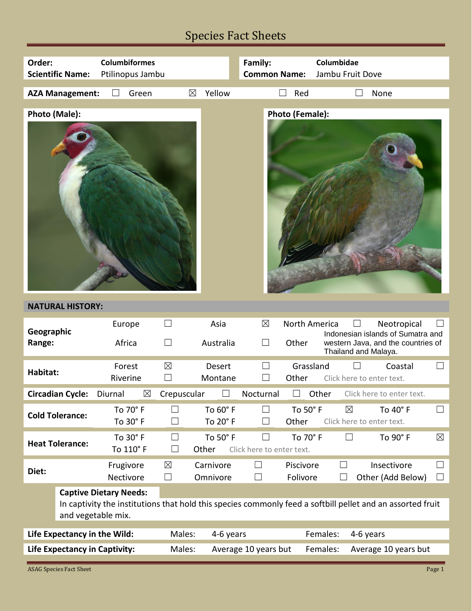## Species Fact Sheets

| Order:<br><b>Scientific Name:</b>                                                                                                                                 | <b>Columbiformes</b><br>Ptilinopus Jambu |                                        |                       | Family:<br><b>Common Name:</b>      |                        | Columbidae<br>Jambu Fruit Dove           |                                                                                        |                  |
|-------------------------------------------------------------------------------------------------------------------------------------------------------------------|------------------------------------------|----------------------------------------|-----------------------|-------------------------------------|------------------------|------------------------------------------|----------------------------------------------------------------------------------------|------------------|
| <b>AZA Management:</b>                                                                                                                                            | Green                                    | ⊠                                      | Yellow                |                                     | Red                    |                                          | None                                                                                   |                  |
| Photo (Male):<br><b>Photo (Female):</b>                                                                                                                           |                                          |                                        |                       |                                     |                        |                                          |                                                                                        |                  |
| <b>NATURAL HISTORY:</b>                                                                                                                                           |                                          |                                        |                       |                                     |                        |                                          |                                                                                        |                  |
| Geographic<br>Range:                                                                                                                                              | Europe<br>Africa                         | $\Box$<br>$\Box$                       | Asia<br>Australia     | $\boxtimes$<br>$\perp$              | North America<br>Other | Thailand and Malaya.                     | Neotropical<br>Indonesian islands of Sumatra and<br>western Java, and the countries of |                  |
| <b>Habitat:</b>                                                                                                                                                   | Forest<br>Riverine                       | $\boxtimes$                            | Desert<br>Montane     | $\Box$                              | Grassland<br>Other     | Click here to enter text.                | Coastal                                                                                |                  |
| <b>Circadian Cycle:</b>                                                                                                                                           | Diurnal<br>$\boxtimes$                   | Crepuscular                            | $\Box$                | Nocturnal                           | $\Box$<br>Other        |                                          | Click here to enter text.                                                              |                  |
| <b>Cold Tolerance:</b>                                                                                                                                            | To 70° F<br>To 30° F                     | $\vert \ \ \vert$<br>$\vert \ \ \vert$ | To 60° F<br>To 20° F  | $\Box$<br>⊔                         | To 50° F<br>Other      | $\boxtimes$<br>Click here to enter text. | To 40° F                                                                               | ⊔                |
| <b>Heat Tolerance:</b>                                                                                                                                            | To 30° F<br>To 110° F                    | $\Box$<br>$\overline{\phantom{0}}$     | To 50° F<br>Other     | $\Box$<br>Click here to enter text. | To 70° F               | $\perp$                                  | To $90^\circ$ F                                                                        | $\boxtimes$      |
| Diet:                                                                                                                                                             | Frugivore<br>Nectivore                   | $\boxtimes$<br>⊔                       | Carnivore<br>Omnivore | $\Box$<br>$\blacksquare$            | Piscivore<br>Folivore  | $\Box$                                   | Insectivore<br>Other (Add Below)                                                       | $\Box$<br>$\Box$ |
| <b>Captive Dietary Needs:</b><br>In captivity the institutions that hold this species commonly feed a softbill pellet and an assorted fruit<br>and vegetable mix. |                                          |                                        |                       |                                     |                        |                                          |                                                                                        |                  |
| Life Expectancy in the Wild:                                                                                                                                      |                                          | Males:                                 | 4-6 years             |                                     | Females:               | 4-6 years                                |                                                                                        |                  |
| <b>Life Expectancy in Captivity:</b><br>Males:<br>Average 10 years but<br>Females:<br>Average 10 years but                                                        |                                          |                                        |                       |                                     |                        |                                          |                                                                                        |                  |
| <b>ASAG Species Fact Sheet</b>                                                                                                                                    |                                          |                                        |                       |                                     |                        |                                          |                                                                                        | Page 1           |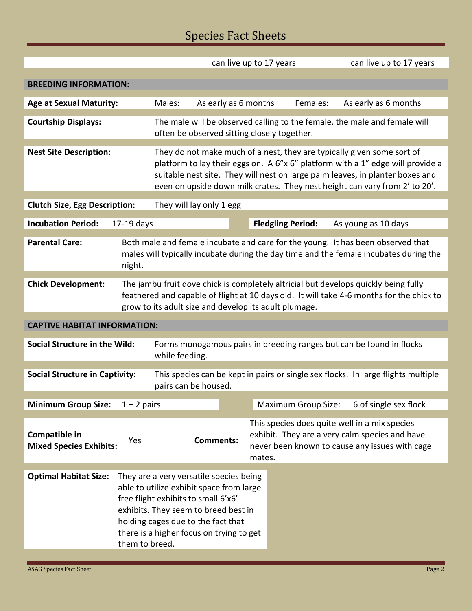## Species Fact Sheets

|                                                                                                                         |                                                                                                                                                                                                                                          |                                                                                                                                                                                                                                                                                                                         | can live up to 17 years                                                                                                                                                                                                                              |        | can live up to 17 years    |                                                                                                                                                   |  |
|-------------------------------------------------------------------------------------------------------------------------|------------------------------------------------------------------------------------------------------------------------------------------------------------------------------------------------------------------------------------------|-------------------------------------------------------------------------------------------------------------------------------------------------------------------------------------------------------------------------------------------------------------------------------------------------------------------------|------------------------------------------------------------------------------------------------------------------------------------------------------------------------------------------------------------------------------------------------------|--------|----------------------------|---------------------------------------------------------------------------------------------------------------------------------------------------|--|
| <b>BREEDING INFORMATION:</b>                                                                                            |                                                                                                                                                                                                                                          |                                                                                                                                                                                                                                                                                                                         |                                                                                                                                                                                                                                                      |        |                            |                                                                                                                                                   |  |
| <b>Age at Sexual Maturity:</b>                                                                                          |                                                                                                                                                                                                                                          | Males:                                                                                                                                                                                                                                                                                                                  | As early as 6 months                                                                                                                                                                                                                                 |        | Females:                   | As early as 6 months                                                                                                                              |  |
|                                                                                                                         |                                                                                                                                                                                                                                          |                                                                                                                                                                                                                                                                                                                         |                                                                                                                                                                                                                                                      |        |                            |                                                                                                                                                   |  |
| <b>Courtship Displays:</b>                                                                                              |                                                                                                                                                                                                                                          |                                                                                                                                                                                                                                                                                                                         | often be observed sitting closely together.                                                                                                                                                                                                          |        |                            | The male will be observed calling to the female, the male and female will                                                                         |  |
| <b>Nest Site Description:</b>                                                                                           |                                                                                                                                                                                                                                          | They do not make much of a nest, they are typically given some sort of<br>platform to lay their eggs on. A 6"x 6" platform with a 1" edge will provide a<br>suitable nest site. They will nest on large palm leaves, in planter boxes and<br>even on upside down milk crates. They nest height can vary from 2' to 20'. |                                                                                                                                                                                                                                                      |        |                            |                                                                                                                                                   |  |
| <b>Clutch Size, Egg Description:</b>                                                                                    |                                                                                                                                                                                                                                          | They will lay only 1 egg                                                                                                                                                                                                                                                                                                |                                                                                                                                                                                                                                                      |        |                            |                                                                                                                                                   |  |
| <b>Incubation Period:</b>                                                                                               | $17-19$ days                                                                                                                                                                                                                             |                                                                                                                                                                                                                                                                                                                         |                                                                                                                                                                                                                                                      |        | <b>Fledgling Period:</b>   | As young as 10 days                                                                                                                               |  |
| <b>Parental Care:</b>                                                                                                   | Both male and female incubate and care for the young. It has been observed that<br>males will typically incubate during the day time and the female incubates during the<br>night.                                                       |                                                                                                                                                                                                                                                                                                                         |                                                                                                                                                                                                                                                      |        |                            |                                                                                                                                                   |  |
| <b>Chick Development:</b>                                                                                               | The jambu fruit dove chick is completely altricial but develops quickly being fully<br>feathered and capable of flight at 10 days old. It will take 4-6 months for the chick to<br>grow to its adult size and develop its adult plumage. |                                                                                                                                                                                                                                                                                                                         |                                                                                                                                                                                                                                                      |        |                            |                                                                                                                                                   |  |
| <b>CAPTIVE HABITAT INFORMATION:</b>                                                                                     |                                                                                                                                                                                                                                          |                                                                                                                                                                                                                                                                                                                         |                                                                                                                                                                                                                                                      |        |                            |                                                                                                                                                   |  |
| Social Structure in the Wild:<br>Forms monogamous pairs in breeding ranges but can be found in flocks<br>while feeding. |                                                                                                                                                                                                                                          |                                                                                                                                                                                                                                                                                                                         |                                                                                                                                                                                                                                                      |        |                            |                                                                                                                                                   |  |
| <b>Social Structure in Captivity:</b>                                                                                   |                                                                                                                                                                                                                                          | This species can be kept in pairs or single sex flocks. In large flights multiple<br>pairs can be housed.                                                                                                                                                                                                               |                                                                                                                                                                                                                                                      |        |                            |                                                                                                                                                   |  |
| <b>Minimum Group Size:</b>                                                                                              | $1 - 2$ pairs                                                                                                                                                                                                                            |                                                                                                                                                                                                                                                                                                                         |                                                                                                                                                                                                                                                      |        | <b>Maximum Group Size:</b> | 6 of single sex flock                                                                                                                             |  |
| Compatible in<br><b>Mixed Species Exhibits:</b>                                                                         | Yes                                                                                                                                                                                                                                      |                                                                                                                                                                                                                                                                                                                         | <b>Comments:</b>                                                                                                                                                                                                                                     | mates. |                            | This species does quite well in a mix species<br>exhibit. They are a very calm species and have<br>never been known to cause any issues with cage |  |
| <b>Optimal Habitat Size:</b>                                                                                            | them to breed.                                                                                                                                                                                                                           |                                                                                                                                                                                                                                                                                                                         | They are a very versatile species being<br>able to utilize exhibit space from large<br>free flight exhibits to small 6'x6'<br>exhibits. They seem to breed best in<br>holding cages due to the fact that<br>there is a higher focus on trying to get |        |                            |                                                                                                                                                   |  |

⊏